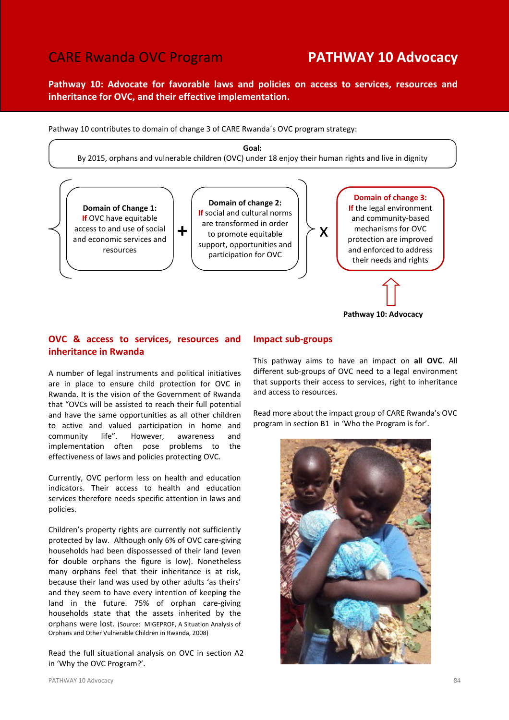# CARE Rwanda OVC Program **PATHWAY 10 Advocacy**

Pathway 10: Advocate for favorable laws and policies on access to services, resources and inheritance for OVC, and their effective implementation.



# OVC & access to services, resources and inheritance in Rwanda

A number of legal instruments and political initiatives are in place to ensure child protection for OVC in Rwanda. It is the vision of the Government of Rwanda that "OVCs will be assisted to reach their full potential and have the same opportunities as all other children to active and valued participation in home and community life". However, awareness and implementation often pose problems to the effectiveness of laws and policies protecting OVC.

Currently, OVC perform less on health and education indicators. Their access to health and education services therefore needs specific attention in laws and policies.

Children's property rights are currently not sufficiently protected by law. Although only 6% of OVC care-giving households had been dispossessed of their land (even for double orphans the figure is low). Nonetheless many orphans feel that their inheritance is at risk, because their land was used by other adults 'as theirs' and they seem to have every intention of keeping the land in the future. 75% of orphan care-giving households state that the assets inherited by the orphans were lost. (Source: MIGEPROF, A Situation Analysis of Orphans and Other Vulnerable Children in Rwanda, 2008)

Read the full situational analysis on OVC in section A2 in 'Why the OVC Program?'.

# Impact sub-groups

This pathway aims to have an impact on all OVC. All different sub-groups of OVC need to a legal environment that supports their access to services, right to inheritance and access to resources.

Read more about the impact group of CARE Rwanda's OVC program in section B1 in 'Who the Program is for'.

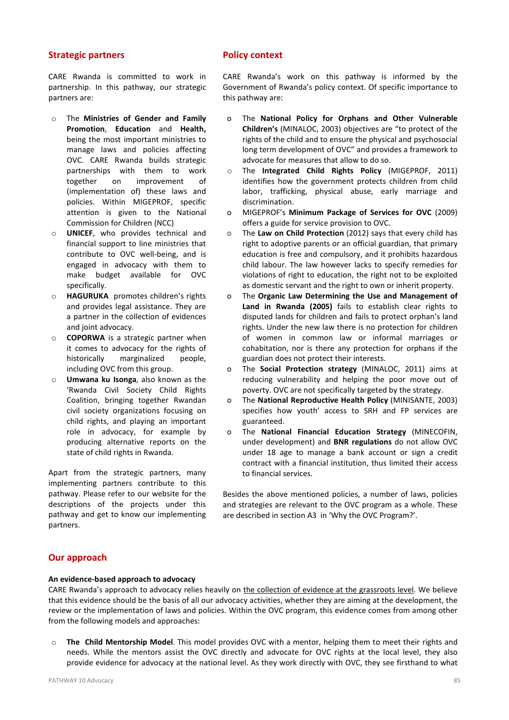## Strategic partners

CARE Rwanda is committed to work in partnership. In this pathway, our strategic partners are:

- o The Ministries of Gender and Family Promotion, Education and Health, being the most important ministries to manage laws and policies affecting OVC. CARE Rwanda builds strategic partnerships with them to work together on improvement of (implementation of) these laws and policies. Within MIGEPROF, specific attention is given to the National Commission for Children (NCC)
- o UNICEF, who provides technical and financial support to line ministries that contribute to OVC well-being, and is engaged in advocacy with them to make budget available for OVC specifically.
- o HAGURUKA promotes children's rights and provides legal assistance. They are a partner in the collection of evidences and joint advocacy.
- $\circ$  **COPORWA** is a strategic partner when it comes to advocacy for the rights of historically marginalized people, including OVC from this group.
- o Umwana ku Isonga, also known as the 'Rwanda Civil Society Child Rights Coalition, bringing together Rwandan civil society organizations focusing on child rights, and playing an important role in advocacy, for example by producing alternative reports on the state of child rights in Rwanda.

Apart from the strategic partners, many implementing partners contribute to this pathway. Please refer to our website for the descriptions of the projects under this pathway and get to know our implementing partners.

# Policy context

CARE Rwanda's work on this pathway is informed by the Government of Rwanda's policy context. Of specific importance to this pathway are:

- o The National Policy for Orphans and Other Vulnerable Children's (MINALOC, 2003) objectives are "to protect of the rights of the child and to ensure the physical and psychosocial long term development of OVC" and provides a framework to advocate for measures that allow to do so.
- o The Integrated Child Rights Policy (MIGEPROF, 2011) identifies how the government protects children from child labor, trafficking, physical abuse, early marriage and discrimination.
- o MIGEPROF's Minimum Package of Services for OVC (2009) offers a guide for service provision to OVC.
- o The Law on Child Protection (2012) says that every child has right to adoptive parents or an official guardian, that primary education is free and compulsory, and it prohibits hazardous child labour. The law however lacks to specify remedies for violations of right to education, the right not to be exploited as domestic servant and the right to own or inherit property.
- o The Organic Law Determining the Use and Management of Land in Rwanda (2005) fails to establish clear rights to disputed lands for children and fails to protect orphan's land rights. Under the new law there is no protection for children of women in common law or informal marriages or cohabitation, nor is there any protection for orphans if the guardian does not protect their interests.
- o The Social Protection strategy (MINALOC, 2011) aims at reducing vulnerability and helping the poor move out of poverty. OVC are not specifically targeted by the strategy.
- o The National Reproductive Health Policy (MINISANTE, 2003) specifies how youth' access to SRH and FP services are guaranteed.
- o The National Financial Education Strategy (MINECOFIN, under development) and BNR regulations do not allow OVC under 18 age to manage a bank account or sign a credit contract with a financial institution, thus limited their access to financial services.

Besides the above mentioned policies, a number of laws, policies and strategies are relevant to the OVC program as a whole. These are described in section A3 in 'Why the OVC Program?'.

# Our approach

### An evidence-based approach to advocacy

CARE Rwanda's approach to advocacy relies heavily on the collection of evidence at the grassroots level. We believe that this evidence should be the basis of all our advocacy activities, whether they are aiming at the development, the review or the implementation of laws and policies. Within the OVC program, this evidence comes from among other from the following models and approaches:

o The Child Mentorship Model. This model provides OVC with a mentor, helping them to meet their rights and needs. While the mentors assist the OVC directly and advocate for OVC rights at the local level, they also provide evidence for advocacy at the national level. As they work directly with OVC, they see firsthand to what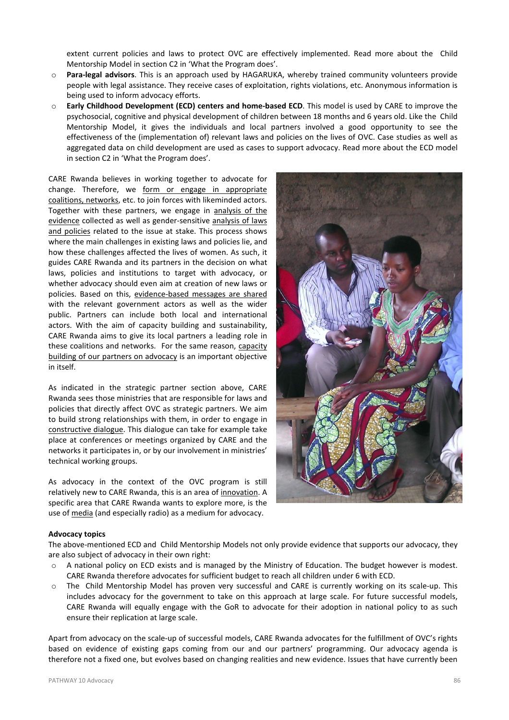extent current policies and laws to protect OVC are effectively implemented. Read more about the Child Mentorship Model in section C2 in 'What the Program does'.

- o Para-legal advisors. This is an approach used by HAGARUKA, whereby trained community volunteers provide people with legal assistance. They receive cases of exploitation, rights violations, etc. Anonymous information is being used to inform advocacy efforts.
- o Early Childhood Development (ECD) centers and home-based ECD. This model is used by CARE to improve the psychosocial, cognitive and physical development of children between 18 months and 6 years old. Like the Child Mentorship Model, it gives the individuals and local partners involved a good opportunity to see the effectiveness of the (implementation of) relevant laws and policies on the lives of OVC. Case studies as well as aggregated data on child development are used as cases to support advocacy. Read more about the ECD model in section C2 in 'What the Program does'.

CARE Rwanda believes in working together to advocate for change. Therefore, we form or engage in appropriate coalitions, networks, etc. to join forces with likeminded actors. Together with these partners, we engage in analysis of the evidence collected as well as gender-sensitive analysis of laws and policies related to the issue at stake. This process shows where the main challenges in existing laws and policies lie, and how these challenges affected the lives of women. As such, it guides CARE Rwanda and its partners in the decision on what laws, policies and institutions to target with advocacy, or whether advocacy should even aim at creation of new laws or policies. Based on this, evidence-based messages are shared with the relevant government actors as well as the wider public. Partners can include both local and international actors. With the aim of capacity building and sustainability, CARE Rwanda aims to give its local partners a leading role in these coalitions and networks. For the same reason, capacity building of our partners on advocacy is an important objective in itself.

As indicated in the strategic partner section above, CARE Rwanda sees those ministries that are responsible for laws and policies that directly affect OVC as strategic partners. We aim to build strong relationships with them, in order to engage in constructive dialogue. This dialogue can take for example take place at conferences or meetings organized by CARE and the networks it participates in, or by our involvement in ministries' technical working groups.

As advocacy in the context of the OVC program is still relatively new to CARE Rwanda, this is an area of innovation. A specific area that CARE Rwanda wants to explore more, is the use of media (and especially radio) as a medium for advocacy.



### Advocacy topics

The above-mentioned ECD and Child Mentorship Models not only provide evidence that supports our advocacy, they are also subject of advocacy in their own right:

- o A national policy on ECD exists and is managed by the Ministry of Education. The budget however is modest. CARE Rwanda therefore advocates for sufficient budget to reach all children under 6 with ECD.
- o The Child Mentorship Model has proven very successful and CARE is currently working on its scale-up. This includes advocacy for the government to take on this approach at large scale. For future successful models, CARE Rwanda will equally engage with the GoR to advocate for their adoption in national policy to as such ensure their replication at large scale.

Apart from advocacy on the scale-up of successful models, CARE Rwanda advocates for the fulfillment of OVC's rights based on evidence of existing gaps coming from our and our partners' programming. Our advocacy agenda is therefore not a fixed one, but evolves based on changing realities and new evidence. Issues that have currently been